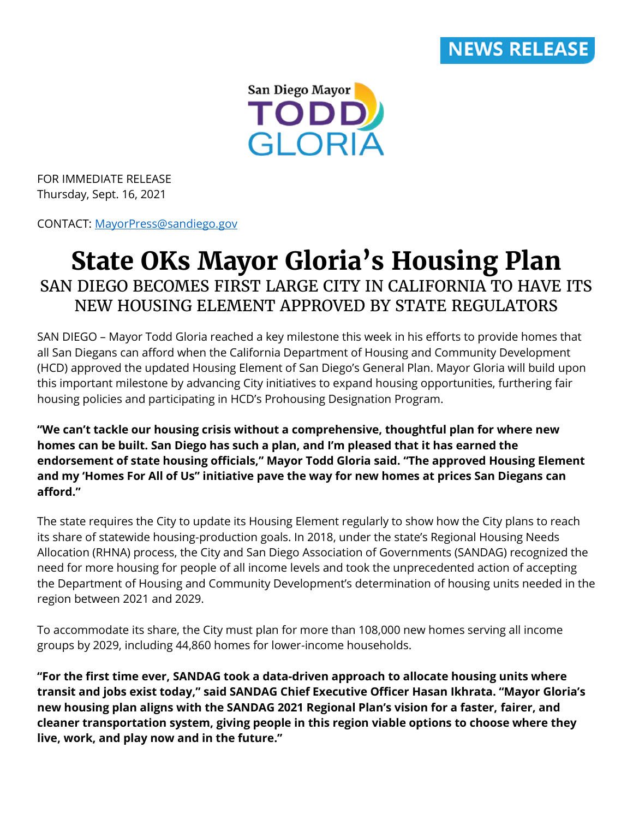



FOR IMMEDIATE RELEASE Thursday, Sept. 16, 2021

CONTACT: [MayorPress@sandiego.gov](mailto:MayorPress@sandiego.gov)

## **State OKs Mayor Gloria's Housing Plan** SAN DIEGO BECOMES FIRST LARGE CITY IN CALIFORNIA TO HAVE ITS NEW HOUSING ELEMENT APPROVED BY STATE REGULATORS

SAN DIEGO – Mayor Todd Gloria reached a key milestone this week in his efforts to provide homes that all San Diegans can afford when the California Department of Housing and Community Development (HCD) approved the updated Housing Element of San Diego's General Plan. Mayor Gloria will build upon this important milestone by advancing City initiatives to expand housing opportunities, furthering fair housing policies and participating in HCD's Prohousing Designation Program.

**"We can't tackle our housing crisis without a comprehensive, thoughtful plan for where new homes can be built. San Diego has such a plan, and I'm pleased that it has earned the endorsement of state housing officials," Mayor Todd Gloria said. "The approved Housing Element and my 'Homes For All of Us" initiative pave the way for new homes at prices San Diegans can afford."**

The state requires the City to update its Housing Element regularly to show how the City plans to reach its share of statewide housing-production goals. In 2018, under the state's Regional Housing Needs Allocation (RHNA) process, the City and San Diego Association of Governments (SANDAG) recognized the need for more housing for people of all income levels and took the unprecedented action of accepting the Department of Housing and Community Development's determination of housing units needed in the region between 2021 and 2029.

To accommodate its share, the City must plan for more than 108,000 new homes serving all income groups by 2029, including 44,860 homes for lower-income households.

**"For the first time ever, SANDAG took a data-driven approach to allocate housing units where transit and jobs exist today," said SANDAG Chief Executive Officer Hasan Ikhrata. "Mayor Gloria's new housing plan aligns with the SANDAG 2021 Regional Plan's vision for a faster, fairer, and cleaner transportation system, giving people in this region viable options to choose where they live, work, and play now and in the future."**